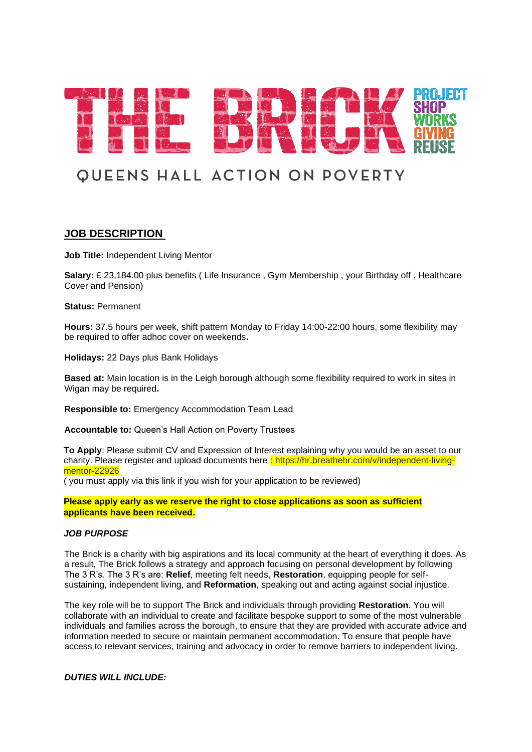

# **QUEENS HALL ACTION ON POVERTY**

## **JOB DESCRIPTION**

**Job Title:** Independent Living Mentor

**Salary:** £ 23,184.00 plus benefits ( Life Insurance , Gym Membership , your Birthday off , Healthcare Cover and Pension)

**Status:** Permanent

**Hours:** 37.5 hours per week, shift pattern Monday to Friday 14:00-22:00 hours, some flexibility may be required to offer adhoc cover on weekends**.**

**Holidays:** 22 Days plus Bank Holidays

**Based at:** Main location is in the Leigh borough although some flexibility required to work in sites in Wigan may be required**.**

**Responsible to:** Emergency Accommodation Team Lead

**Accountable to:** Queen's Hall Action on Poverty Trustees

**To Apply**: Please submit CV and Expression of Interest explaining why you would be an asset to our charity. Please register and upload documents here : https://hr.breathehr.com/v/independent-livingmentor-22926

( you must apply via this link if you wish for your application to be reviewed)

**Please apply early as we reserve the right to close applications as soon as sufficient applicants have been received.**

#### *JOB PURPOSE*

The Brick is a charity with big aspirations and its local community at the heart of everything it does. As a result, The Brick follows a strategy and approach focusing on personal development by following The 3 R's. The 3 R's are: **Relief**, meeting felt needs, **Restoration**, equipping people for selfsustaining, independent living, and **Reformation**, speaking out and acting against social injustice.

The key role will be to support The Brick and individuals through providing **Restoration**. You will collaborate with an individual to create and facilitate bespoke support to some of the most vulnerable individuals and families across the borough, to ensure that they are provided with accurate advice and information needed to secure or maintain permanent accommodation. To ensure that people have access to relevant services, training and advocacy in order to remove barriers to independent living.

*DUTIES WILL INCLUDE:*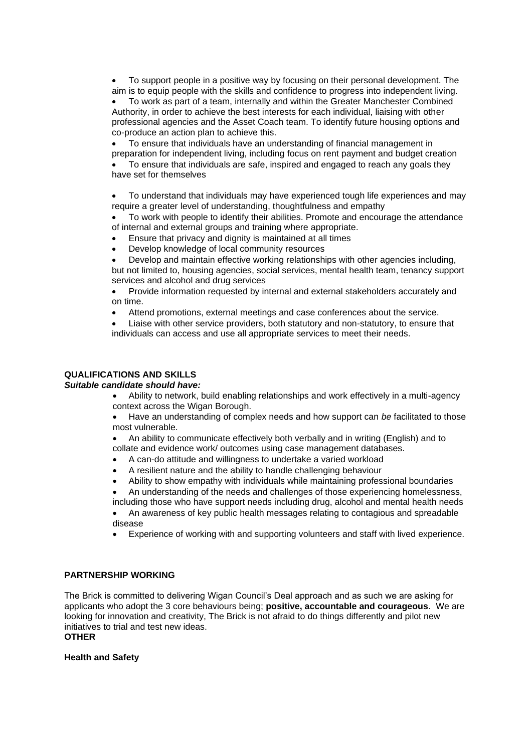• To support people in a positive way by focusing on their personal development. The aim is to equip people with the skills and confidence to progress into independent living.

• To work as part of a team, internally and within the Greater Manchester Combined Authority, in order to achieve the best interests for each individual, liaising with other professional agencies and the Asset Coach team. To identify future housing options and co-produce an action plan to achieve this.

• To ensure that individuals have an understanding of financial management in preparation for independent living, including focus on rent payment and budget creation

• To ensure that individuals are safe, inspired and engaged to reach any goals they have set for themselves

• To understand that individuals may have experienced tough life experiences and may require a greater level of understanding, thoughtfulness and empathy

• To work with people to identify their abilities. Promote and encourage the attendance of internal and external groups and training where appropriate.

- Ensure that privacy and dignity is maintained at all times
- Develop knowledge of local community resources

• Develop and maintain effective working relationships with other agencies including, but not limited to, housing agencies, social services, mental health team, tenancy support services and alcohol and drug services

• Provide information requested by internal and external stakeholders accurately and on time.

• Attend promotions, external meetings and case conferences about the service.

• Liaise with other service providers, both statutory and non-statutory, to ensure that individuals can access and use all appropriate services to meet their needs.

### **QUALIFICATIONS AND SKILLS**

#### *Suitable candidate should have:*

• Ability to network, build enabling relationships and work effectively in a multi-agency context across the Wigan Borough.

• Have an understanding of complex needs and how support can *be* facilitated to those most vulnerable.

• An ability to communicate effectively both verbally and in writing (English) and to collate and evidence work/ outcomes using case management databases.

- A can-do attitude and willingness to undertake a varied workload
- A resilient nature and the ability to handle challenging behaviour
- Ability to show empathy with individuals while maintaining professional boundaries
- An understanding of the needs and challenges of those experiencing homelessness, including those who have support needs including drug, alcohol and mental health needs

• An awareness of key public health messages relating to contagious and spreadable disease

• Experience of working with and supporting volunteers and staff with lived experience.

#### **PARTNERSHIP WORKING**

The Brick is committed to delivering Wigan Council's Deal approach and as such we are asking for applicants who adopt the 3 core behaviours being; **positive, accountable and courageous**. We are looking for innovation and creativity, The Brick is not afraid to do things differently and pilot new initiatives to trial and test new ideas.

**OTHER**

#### **Health and Safety**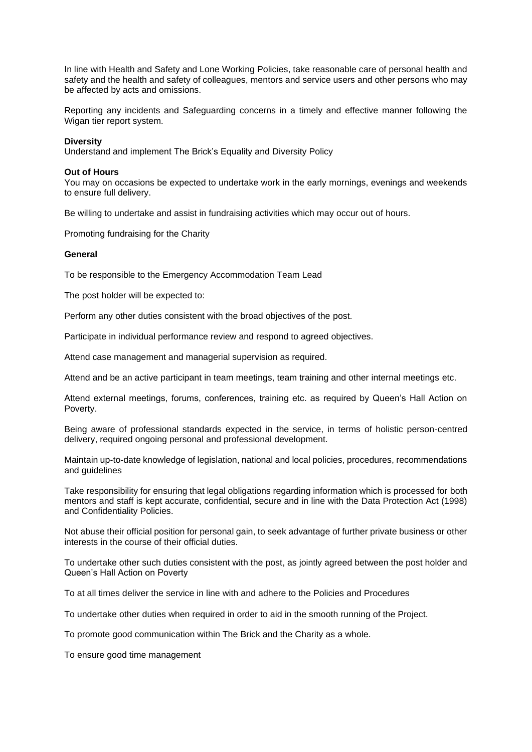In line with Health and Safety and Lone Working Policies, take reasonable care of personal health and safety and the health and safety of colleagues, mentors and service users and other persons who may be affected by acts and omissions.

Reporting any incidents and Safeguarding concerns in a timely and effective manner following the Wigan tier report system.

#### **Diversity**

Understand and implement The Brick's Equality and Diversity Policy

#### **Out of Hours**

You may on occasions be expected to undertake work in the early mornings, evenings and weekends to ensure full delivery.

Be willing to undertake and assist in fundraising activities which may occur out of hours.

Promoting fundraising for the Charity

#### **General**

To be responsible to the Emergency Accommodation Team Lead

The post holder will be expected to:

Perform any other duties consistent with the broad objectives of the post.

Participate in individual performance review and respond to agreed objectives.

Attend case management and managerial supervision as required.

Attend and be an active participant in team meetings, team training and other internal meetings etc.

Attend external meetings, forums, conferences, training etc. as required by Queen's Hall Action on Poverty.

Being aware of professional standards expected in the service, in terms of holistic person-centred delivery, required ongoing personal and professional development.

Maintain up-to-date knowledge of legislation, national and local policies, procedures, recommendations and guidelines

Take responsibility for ensuring that legal obligations regarding information which is processed for both mentors and staff is kept accurate, confidential, secure and in line with the Data Protection Act (1998) and Confidentiality Policies.

Not abuse their official position for personal gain, to seek advantage of further private business or other interests in the course of their official duties.

To undertake other such duties consistent with the post, as jointly agreed between the post holder and Queen's Hall Action on Poverty

To at all times deliver the service in line with and adhere to the Policies and Procedures

To undertake other duties when required in order to aid in the smooth running of the Project.

To promote good communication within The Brick and the Charity as a whole.

To ensure good time management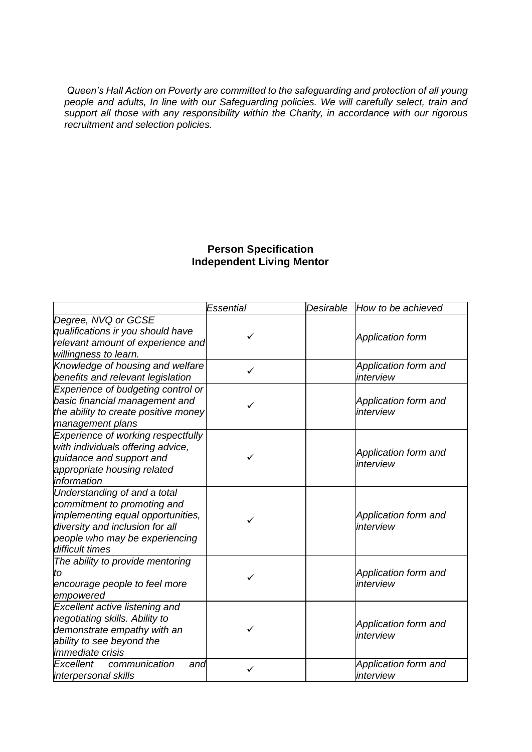*Queen's Hall Action on Poverty are committed to the safeguarding and protection of all young people and adults, In line with our Safeguarding policies. We will carefully select, train and support all those with any responsibility within the Charity, in accordance with our rigorous recruitment and selection policies.* 

# **Person Specification Independent Living Mentor**

|                                      | Essential    | Desirable | How to be achieved      |
|--------------------------------------|--------------|-----------|-------------------------|
| Degree, NVQ or GCSE                  |              |           |                         |
| qualifications ir you should have    | $\checkmark$ |           | <b>Application form</b> |
| relevant amount of experience and    |              |           |                         |
| willingness to learn.                |              |           |                         |
| Knowledge of housing and welfare     | ✓            |           | Application form and    |
| benefits and relevant legislation    |              |           | interview               |
| Experience of budgeting control or   |              |           |                         |
| basic financial management and       | ✓            |           | Application form and    |
| the ability to create positive money |              |           | interview               |
| management plans                     |              |           |                         |
| Experience of working respectfully   |              |           |                         |
| with individuals offering advice,    |              |           | Application form and    |
| quidance and support and             |              |           | interview               |
| appropriate housing related          |              |           |                         |
| information                          |              |           |                         |
| Understanding of and a total         |              |           |                         |
| commitment to promoting and          |              |           |                         |
| implementing equal opportunities,    |              |           | Application form and    |
| diversity and inclusion for all      |              |           | interview               |
| people who may be experiencing       |              |           |                         |
| difficult times                      |              |           |                         |
| The ability to provide mentoring     |              |           |                         |
| to                                   |              |           | Application form and    |
| encourage people to feel more        |              |           | interview               |
| empowered                            |              |           |                         |
| Excellent active listening and       |              |           |                         |
| negotiating skills. Ability to       |              |           | Application form and    |
| demonstrate empathy with an          |              |           | interview               |
| ability to see beyond the            |              |           |                         |
| <i>immediate crisis</i>              |              |           |                         |
| Excellent<br>communication<br>and    |              |           | Application form and    |
| interpersonal skills                 |              |           | interview               |